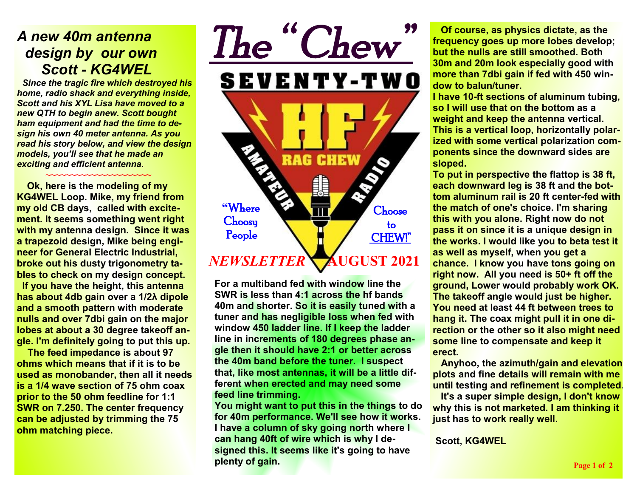### *A new 40m antenna design by our own Scott - KG4WEL*

↑ <del>~</del>~~~~~~~~~~~~~~~~~~~~~

 *Since the tragic fire which destroyed his home, radio shack and everything inside, Scott and his XYL Lisa have moved to a new QTH to begin anew. Scott bought ham equipment and had the time to design his own 40 meter antenna. As you read his story below, and view the design models, you'll see that he made an exciting and efficient antenna.* 

 **Ok, here is the modeling of my KG4WEL Loop. Mike, my friend from my old CB days, called with excitement. It seems something went right with my antenna design. Since it was a trapezoid design, Mike being engineer for General Electric Industrial, broke out his dusty trigonometry tables to check on my design concept. If you have the height, this antenna has about 4db gain over a 1/2λ dipole and a smooth pattern with moderate nulls and over 7dbi gain on the major lobes at about a 30 degree takeoff angle. I'm definitely going to put this up.** 

 **The feed impedance is about 97 ohms which means that if it is to be used as monobander, then all it needs is a 1/4 wave section of 75 ohm coax prior to the 50 ohm feedline for 1:1 SWR on 7.250. The center frequency can be adjusted by trimming the 75 ohm matching piece.**



**For a multiband fed with window line the SWR is less than 4:1 across the hf bands 40m and shorter. So it is easily tuned with a tuner and has negligible loss when fed with window 450 ladder line. If I keep the ladder line in increments of 180 degrees phase angle then it should have 2:1 or better across the 40m band before the tuner. I suspect that, like most antennas, it will be a little different when erected and may need some feed line trimming.** 

**You might want to put this in the things to do for 40m performance. We'll see how it works. I have a column of sky going north where I can hang 40ft of wire which is why I designed this. It seems like it's going to have plenty of gain.** 

 **Of course, as physics dictate, as the frequency goes up more lobes develop; but the nulls are still smoothed. Both 30m and 20m look especially good with more than 7dbi gain if fed with 450 window to balun/tuner.** 

**I have 10-ft sections of aluminum tubing, so I will use that on the bottom as a weight and keep the antenna vertical. This is a vertical loop, horizontally polarized with some vertical polarization components since the downward sides are sloped.** 

**To put in perspective the flattop is 38 ft, each downward leg is 38 ft and the bottom aluminum rail is 20 ft center-fed with the match of one's choice. I'm sharing this with you alone. Right now do not pass it on since it is a unique design in the works. I would like you to beta test it as well as myself, when you get a chance. I know you have tons going on right now. All you need is 50+ ft off the ground, Lower would probably work OK. The takeoff angle would just be higher. You need at least 44 ft between trees to hang it. The coax might pull it in one direction or the other so it also might need some line to compensate and keep it erect.** 

 **Anyhoo, the azimuth/gain and elevation plots and fine details will remain with me until testing and refinement is completed.** 

 **It's a super simple design, I don't know why this is not marketed. I am thinking it just has to work really well.** 

 **Scott, KG4WEL**